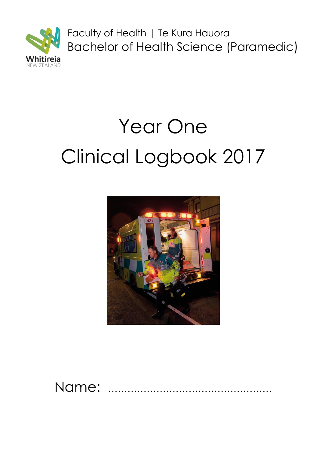

Faculty of Health | Te Kura Hauora Bachelor of Health Science (Paramedic)

# Year One Clinical Logbook 2017



Name: ……………………………………………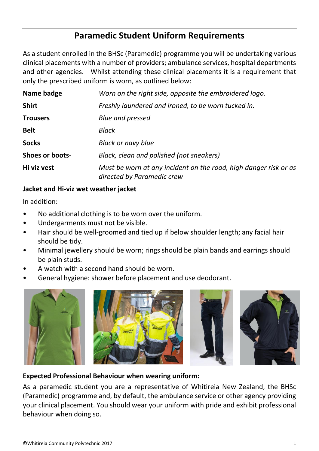## **Paramedic Student Uniform Requirements**

As a student enrolled in the BHSc (Paramedic) programme you will be undertaking various clinical placements with a number of providers; ambulance services, hospital departments and other agencies. Whilst attending these clinical placements it is a requirement that only the prescribed uniform is worn, as outlined below:

| Name badge      | Worn on the right side, opposite the embroidered logo.                                         |  |  |
|-----------------|------------------------------------------------------------------------------------------------|--|--|
| <b>Shirt</b>    | Freshly laundered and ironed, to be worn tucked in.                                            |  |  |
| <b>Trousers</b> | <b>Blue and pressed</b>                                                                        |  |  |
| <b>Belt</b>     | Black                                                                                          |  |  |
| <b>Socks</b>    | <b>Black or navy blue</b>                                                                      |  |  |
| Shoes or boots- | Black, clean and polished (not sneakers)                                                       |  |  |
| Hi viz vest     | Must be worn at any incident on the road, high danger risk or as<br>directed by Paramedic crew |  |  |

## **Jacket and Hi-viz wet weather jacket**

In addition:

- No additional clothing is to be worn over the uniform.
- Undergarments must not be visible.
- Hair should be well-groomed and tied up if below shoulder length; any facial hair should be tidy.
- Minimal jewellery should be worn; rings should be plain bands and earrings should be plain studs.
- A watch with a second hand should be worn.
- General hygiene: shower before placement and use deodorant.









## **Expected Professional Behaviour when wearing uniform:**

As a paramedic student you are a representative of Whitireia New Zealand, the BHSc (Paramedic) programme and, by default, the ambulance service or other agency providing your clinical placement. You should wear your uniform with pride and exhibit professional behaviour when doing so.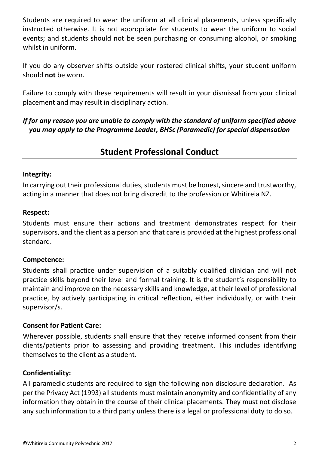Students are required to wear the uniform at all clinical placements, unless specifically instructed otherwise. It is not appropriate for students to wear the uniform to social events; and students should not be seen purchasing or consuming alcohol, or smoking whilst in uniform.

If you do any observer shifts outside your rostered clinical shifts, your student uniform should **not** be worn.

Failure to comply with these requirements will result in your dismissal from your clinical placement and may result in disciplinary action.

*If for any reason you are unable to comply with the standard of uniform specified above you may apply to the Programme Leader, BHSc (Paramedic) for special dispensation*

## **Student Professional Conduct**

## **Integrity:**

In carrying out their professional duties, students must be honest, sincere and trustworthy, acting in a manner that does not bring discredit to the profession or Whitireia NZ.

#### **Respect:**

Students must ensure their actions and treatment demonstrates respect for their supervisors, and the client as a person and that care is provided at the highest professional standard.

## **Competence:**

Students shall practice under supervision of a suitably qualified clinician and will not practice skills beyond their level and formal training. It is the student's responsibility to maintain and improve on the necessary skills and knowledge, at their level of professional practice, by actively participating in critical reflection, either individually, or with their supervisor/s.

## **Consent for Patient Care:**

Wherever possible, students shall ensure that they receive informed consent from their clients/patients prior to assessing and providing treatment. This includes identifying themselves to the client as a student.

## **Confidentiality:**

All paramedic students are required to sign the following non-disclosure declaration. As per the Privacy Act (1993) all students must maintain anonymity and confidentiality of any information they obtain in the course of their clinical placements. They must not disclose any such information to a third party unless there is a legal or professional duty to do so.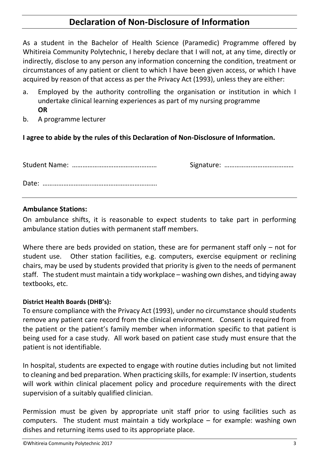## **Declaration of Non-Disclosure of Information**

As a student in the Bachelor of Health Science (Paramedic) Programme offered by Whitireia Community Polytechnic, I hereby declare that I will not, at any time, directly or indirectly, disclose to any person any information concerning the condition, treatment or circumstances of any patient or client to which I have been given access, or which I have acquired by reason of that access as per the Privacy Act (1993), unless they are either:

- a. Employed by the authority controlling the organisation or institution in which I undertake clinical learning experiences as part of my nursing programme **OR**
- b. A programme lecturer

## **I agree to abide by the rules of this Declaration of Non-Disclosure of Information.**

## **Ambulance Stations:**

On ambulance shifts, it is reasonable to expect students to take part in performing ambulance station duties with permanent staff members.

Where there are beds provided on station, these are for permanent staff only – not for student use. Other station facilities, e.g. computers, exercise equipment or reclining chairs, may be used by students provided that priority is given to the needs of permanent staff. The student must maintain a tidy workplace – washing own dishes, and tidying away textbooks, etc.

## **District Health Boards (DHB's):**

To ensure compliance with the Privacy Act (1993), under no circumstance should students remove any patient care record from the clinical environment. Consent is required from the patient or the patient's family member when information specific to that patient is being used for a case study. All work based on patient case study must ensure that the patient is not identifiable.

In hospital, students are expected to engage with routine duties including but not limited to cleaning and bed preparation. When practicing skills, for example: IV insertion, students will work within clinical placement policy and procedure requirements with the direct supervision of a suitably qualified clinician.

Permission must be given by appropriate unit staff prior to using facilities such as computers. The student must maintain a tidy workplace – for example: washing own dishes and returning items used to its appropriate place.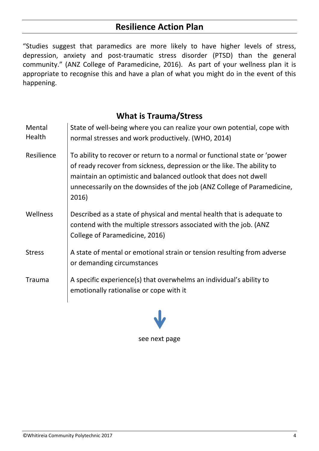## **Resilience Action Plan**

"Studies suggest that paramedics are more likely to have higher levels of stress, depression, anxiety and post-traumatic stress disorder (PTSD) than the general community." (ANZ College of Paramedicine, 2016). As part of your wellness plan it is appropriate to recognise this and have a plan of what you might do in the event of this happening.

## **What is Trauma/Stress**

| Mental<br>Health | State of well-being where you can realize your own potential, cope with<br>normal stresses and work productively. (WHO, 2014)                                                                                                                                                                              |
|------------------|------------------------------------------------------------------------------------------------------------------------------------------------------------------------------------------------------------------------------------------------------------------------------------------------------------|
| Resilience       | To ability to recover or return to a normal or functional state or 'power<br>of ready recover from sickness, depression or the like. The ability to<br>maintain an optimistic and balanced outlook that does not dwell<br>unnecessarily on the downsides of the job (ANZ College of Paramedicine,<br>2016) |
| Wellness         | Described as a state of physical and mental health that is adequate to<br>contend with the multiple stressors associated with the job. (ANZ<br>College of Paramedicine, 2016)                                                                                                                              |
| <b>Stress</b>    | A state of mental or emotional strain or tension resulting from adverse<br>or demanding circumstances                                                                                                                                                                                                      |
| <b>Trauma</b>    | A specific experience(s) that overwhelms an individual's ability to<br>emotionally rationalise or cope with it                                                                                                                                                                                             |

see next page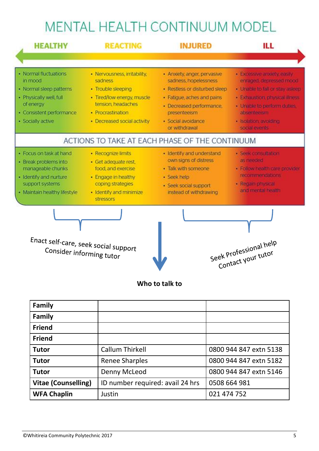# MENTAL HEALTH CONTINUUM MODEL

| <b>HEALTHY</b><br><b>REACTING</b>                                                                                                                    |                                                                                                                                                                       | <b>INJURED</b>                                                                                                                                                                                         | ILL                                                                                                                                                                                                                  |  |
|------------------------------------------------------------------------------------------------------------------------------------------------------|-----------------------------------------------------------------------------------------------------------------------------------------------------------------------|--------------------------------------------------------------------------------------------------------------------------------------------------------------------------------------------------------|----------------------------------------------------------------------------------------------------------------------------------------------------------------------------------------------------------------------|--|
|                                                                                                                                                      |                                                                                                                                                                       |                                                                                                                                                                                                        |                                                                                                                                                                                                                      |  |
| · Normal fluctuations<br>in mood<br>· Normal sleep patterns<br>· Physically well, full<br>of energy<br>· Consistent performance<br>· Socially active | · Nervousness, irritability,<br>sadness<br>· Trouble sleeping<br>· Tired/low energy, muscle<br>tension, headaches<br>· Procrastination<br>· Decreased social activity | · Anxiety, anger, pervasive<br>sadness, hopelessness<br>· Restless or disturbed sleep<br>· Fatigue, aches and pains<br>· Decreased performance,<br>presenteeism<br>· Social avoidance<br>or withdrawal | · Excessive anxiety, easily,<br>enraged, depressed mood<br>· Unable to fall or stay asleep<br>· Exhaustion, physical illness<br>· Unable to perform duties.<br>absenteeism<br>· Isolation, avoiding<br>social events |  |
|                                                                                                                                                      |                                                                                                                                                                       | ACTIONS TO TAKE AT EACH PHASE OF THE CONTINUUM                                                                                                                                                         |                                                                                                                                                                                                                      |  |
| · Focus on task at hand<br>· Break problems into<br>manageable chunks<br>· Identify and nurture<br>support systems<br>· Maintain healthy lifestyle   | · Recognize limits<br>· Get adequate rest,<br>food, and exercise<br>· Engage in healthy<br>coping strategies<br>· Identify and minimize<br>stressors                  | · Identify and understand<br>own signs of distress<br>· Talk with someone<br>· Seek help<br>· Seek social support<br>instead of withdrawing                                                            | · Seek consultation<br>as needed<br>· Follow health care provider<br>recommendations<br>· Regain physical<br>and mental health                                                                                       |  |
| Enact self-care, seek social support<br>Consider informing tutor                                                                                     |                                                                                                                                                                       |                                                                                                                                                                                                        | Seek Professional help<br>Contact your tutor                                                                                                                                                                         |  |

## **Who to talk to**

| <b>Family</b>              |                                  |                        |
|----------------------------|----------------------------------|------------------------|
| <b>Family</b>              |                                  |                        |
| <b>Friend</b>              |                                  |                        |
| <b>Friend</b>              |                                  |                        |
| <b>Tutor</b>               | <b>Callum Thirkell</b>           | 0800 944 847 extn 5138 |
| <b>Tutor</b>               | <b>Renee Sharples</b>            | 0800 944 847 extn 5182 |
| <b>Tutor</b>               | Denny McLeod                     | 0800 944 847 extn 5146 |
| <b>Vitae (Counselling)</b> | ID number required: avail 24 hrs | 0508 664 981           |
| <b>WFA Chaplin</b>         | Justin                           | 021 474 752            |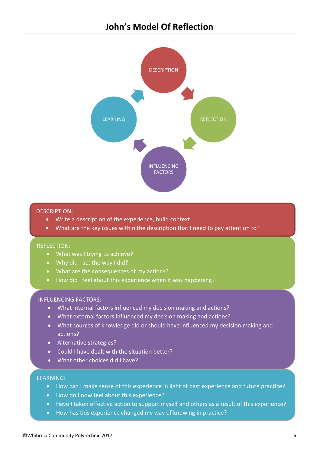## **John's Model Of Reflection**



#### DESCRIPTION:

- Write a description of the experience, build context.
- What are the key issues within the description that I need to pay attention to?

#### REFLECTION:

- What was I trying to achieve?
- Why did I act the way I did?
- What are the consequences of my actions?
- How did I feel about this experience when it was happening?

#### INFLUENCING FACTORS:

- What internal factors influenced my decision making and actions?
- What external factors influenced my decision making and actions?
- What sources of knowledge did or should have influenced my decision making and actions?
- Alternative strategies?
- Could I have dealt with the situation better?
- What other choices did I have?

#### LEARNING:

- How can I make sense of this experience in light of past experience and future practice?
- How do I now feel about this experience?
- Have I taken effective action to support myself and others as a result of this experience?
- How has this experience changed my way of knowing in practice?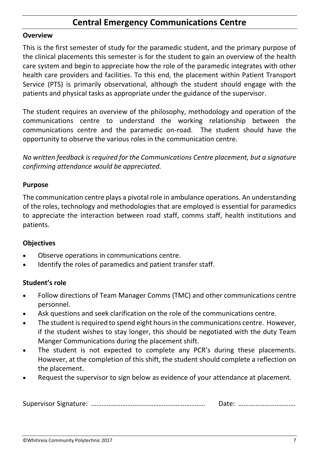## **Central Emergency Communications Centre**

#### **Overview**

This is the first semester of study for the paramedic student, and the primary purpose of the clinical placements this semester is for the student to gain an overview of the health care system and begin to appreciate how the role of the paramedic integrates with other health care providers and facilities. To this end, the placement within Patient Transport Service (PTS) is primarily observational, although the student should engage with the patients and physical tasks as appropriate under the guidance of the supervisor.

The student requires an overview of the philosophy, methodology and operation of the communications centre to understand the working relationship between the communications centre and the paramedic on-road. The student should have the opportunity to observe the various roles in the communication centre.

*No written feedback is required for the Communications Centre placement, but a signature confirming attendance would be appreciated.*

#### **Purpose**

The communication centre plays a pivotal role in ambulance operations. An understanding of the roles, technology and methodologies that are employed is essential for paramedics to appreciate the interaction between road staff, comms staff, health institutions and patients.

## **Objectives**

- Observe operations in communications centre.
- Identify the roles of paramedics and patient transfer staff.

## **Student's role**

- Follow directions of Team Manager Comms (TMC) and other communications centre personnel.
- Ask questions and seek clarification on the role of the communications centre.
- The student is required to spend eight hours in the communications centre. However, if the student wishes to stay longer, this should be negotiated with the duty Team Manger Communications during the placement shift.
- The student is not expected to complete any PCR's during these placements. However, at the completion of this shift, the student should complete a reflection on the placement.
- Request the supervisor to sign below as evidence of your attendance at placement.

|--|--|--|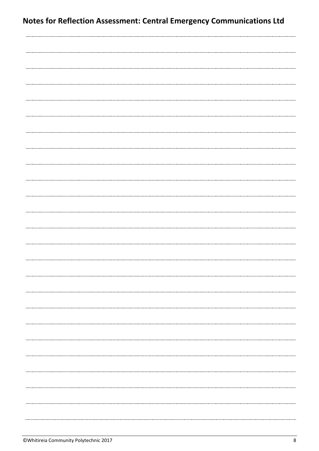..........................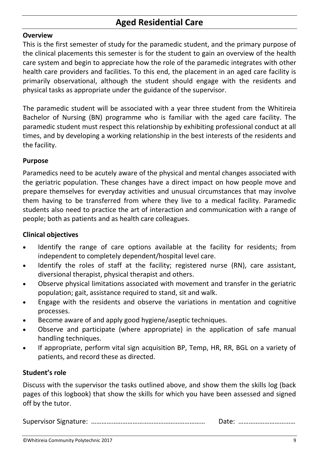## **Aged Residential Care**

#### **Overview**

This is the first semester of study for the paramedic student, and the primary purpose of the clinical placements this semester is for the student to gain an overview of the health care system and begin to appreciate how the role of the paramedic integrates with other health care providers and facilities. To this end, the placement in an aged care facility is primarily observational, although the student should engage with the residents and physical tasks as appropriate under the guidance of the supervisor.

The paramedic student will be associated with a year three student from the Whitireia Bachelor of Nursing (BN) programme who is familiar with the aged care facility. The paramedic student must respect this relationship by exhibiting professional conduct at all times, and by developing a working relationship in the best interests of the residents and the facility.

#### **Purpose**

Paramedics need to be acutely aware of the physical and mental changes associated with the geriatric population. These changes have a direct impact on how people move and prepare themselves for everyday activities and unusual circumstances that may involve them having to be transferred from where they live to a medical facility. Paramedic students also need to practice the art of interaction and communication with a range of people; both as patients and as health care colleagues.

## **Clinical objectives**

- Identify the range of care options available at the facility for residents; from independent to completely dependent/hospital level care.
- Identify the roles of staff at the facility; registered nurse (RN), care assistant, diversional therapist, physical therapist and others.
- Observe physical limitations associated with movement and transfer in the geriatric population; gait, assistance required to stand, sit and walk.
- Engage with the residents and observe the variations in mentation and cognitive processes.
- Become aware of and apply good hygiene/aseptic techniques.
- Observe and participate (where appropriate) in the application of safe manual handling techniques.
- If appropriate, perform vital sign acquisition BP, Temp, HR, RR, BGL on a variety of patients, and record these as directed.

## **Student's role**

Discuss with the supervisor the tasks outlined above, and show them the skills log (back pages of this logbook) that show the skills for which you have been assessed and signed off by the tutor.

Supervisor Signature: ………………………………………………………… Date: ……………………………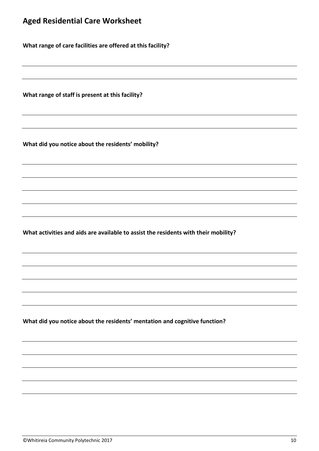**What range of care facilities are offered at this facility?**

**What range of staff is present at this facility?**

**What did you notice about the residents' mobility?**

**What activities and aids are available to assist the residents with their mobility?**

**What did you notice about the residents' mentation and cognitive function?**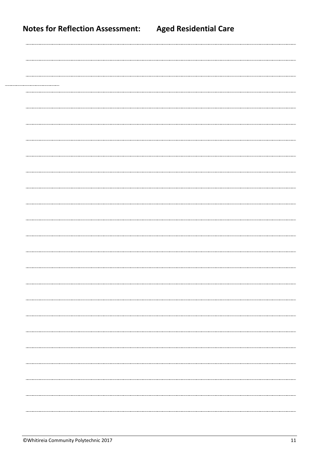|  |  | <b>Notes for Reflection Assessment:</b> |
|--|--|-----------------------------------------|
|--|--|-----------------------------------------|

|                                       | ---------------------------------- |
|---------------------------------------|------------------------------------|
|                                       |                                    |
|                                       |                                    |
| ---------------------------           |                                    |
|                                       |                                    |
|                                       |                                    |
|                                       |                                    |
|                                       |                                    |
|                                       |                                    |
|                                       |                                    |
|                                       |                                    |
|                                       |                                    |
|                                       |                                    |
|                                       |                                    |
|                                       |                                    |
| ------------------------------------- |                                    |
|                                       |                                    |
|                                       |                                    |
|                                       |                                    |
|                                       |                                    |
|                                       |                                    |
|                                       |                                    |
|                                       |                                    |
|                                       |                                    |
|                                       |                                    |
|                                       |                                    |
|                                       |                                    |
| ------<br>---------------------       |                                    |
|                                       |                                    |
|                                       |                                    |
|                                       |                                    |
|                                       |                                    |
|                                       |                                    |
|                                       |                                    |
|                                       |                                    |
|                                       |                                    |
|                                       |                                    |
|                                       |                                    |
|                                       |                                    |
|                                       |                                    |
|                                       |                                    |
|                                       |                                    |
|                                       |                                    |
|                                       |                                    |
|                                       |                                    |
|                                       |                                    |
|                                       |                                    |
|                                       |                                    |
|                                       |                                    |
|                                       |                                    |
|                                       |                                    |
|                                       |                                    |
|                                       |                                    |
|                                       |                                    |
|                                       |                                    |
|                                       |                                    |
|                                       |                                    |
|                                       |                                    |
|                                       |                                    |
|                                       |                                    |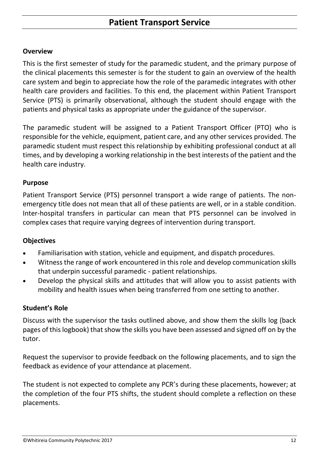## **Overview**

This is the first semester of study for the paramedic student, and the primary purpose of the clinical placements this semester is for the student to gain an overview of the health care system and begin to appreciate how the role of the paramedic integrates with other health care providers and facilities. To this end, the placement within Patient Transport Service (PTS) is primarily observational, although the student should engage with the patients and physical tasks as appropriate under the guidance of the supervisor.

The paramedic student will be assigned to a Patient Transport Officer (PTO) who is responsible for the vehicle, equipment, patient care, and any other services provided. The paramedic student must respect this relationship by exhibiting professional conduct at all times, and by developing a working relationship in the best interests of the patient and the health care industry.

## **Purpose**

Patient Transport Service (PTS) personnel transport a wide range of patients. The nonemergency title does not mean that all of these patients are well, or in a stable condition. Inter-hospital transfers in particular can mean that PTS personnel can be involved in complex cases that require varying degrees of intervention during transport.

## **Objectives**

- Familiarisation with station, vehicle and equipment, and dispatch procedures.
- Witness the range of work encountered in this role and develop communication skills that underpin successful paramedic - patient relationships.
- Develop the physical skills and attitudes that will allow you to assist patients with mobility and health issues when being transferred from one setting to another.

## **Student's Role**

Discuss with the supervisor the tasks outlined above, and show them the skills log (back pages of this logbook) that show the skills you have been assessed and signed off on by the tutor.

Request the supervisor to provide feedback on the following placements, and to sign the feedback as evidence of your attendance at placement.

The student is not expected to complete any PCR's during these placements, however; at the completion of the four PTS shifts, the student should complete a reflection on these placements.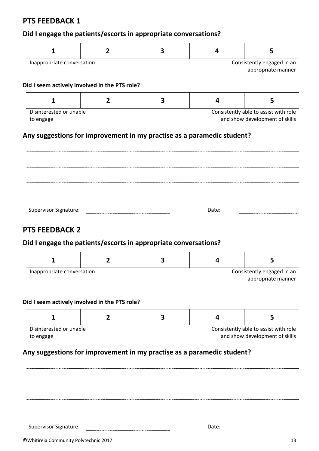## **PTS FEEDBACK 1**

## **Did I engage the patients/escorts in appropriate conversations?**

| Inappropriate conversation |  | Consistently engaged in an |
|----------------------------|--|----------------------------|
|                            |  | appropriate manner         |

#### **Did I seem actively involved in the PTS role?**

| Consistently able to assist with role<br>Disinterested or unable |                                |  |  |  |
|------------------------------------------------------------------|--------------------------------|--|--|--|
| to engage                                                        | and show development of skills |  |  |  |

#### **Any suggestions for improvement in my practise as a paramedic student?**

| <b>Supervisor Signature:</b> | Date: |  |
|------------------------------|-------|--|

## **PTS FEEDBACK 2**

#### **Did I engage the patients/escorts in appropriate conversations?**

| Inappropriate conversation | Consistently engaged in an |  |  |                    |
|----------------------------|----------------------------|--|--|--------------------|
|                            |                            |  |  | appropriate manner |

#### **Did I seem actively involved in the PTS role?**

| Disinterested or unable |  | Consistently able to assist with role |
|-------------------------|--|---------------------------------------|
| to engage               |  | and show development of skills        |

## **Any suggestions for improvement in my practise as a paramedic student?**

Supervisor Signature: Date:

©Whitireia Community Polytechnic 2017 13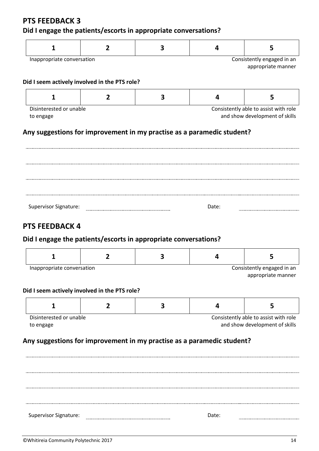## **PTS FEEDBACK 3**

## **Did I engage the patients/escorts in appropriate conversations?**

| 1                                             | $\overline{2}$ | 3                                                                      | 4     | 5                                                                       |
|-----------------------------------------------|----------------|------------------------------------------------------------------------|-------|-------------------------------------------------------------------------|
| Inappropriate conversation                    |                |                                                                        |       | Consistently engaged in an                                              |
|                                               |                |                                                                        |       | appropriate manner                                                      |
| Did I seem actively involved in the PTS role? |                |                                                                        |       |                                                                         |
| $\mathbf{1}$                                  | $\overline{2}$ | 3                                                                      | 4     | 5                                                                       |
| Disinterested or unable                       |                |                                                                        |       | Consistently able to assist with role                                   |
| to engage                                     |                |                                                                        |       | and show development of skills                                          |
|                                               |                | Any suggestions for improvement in my practise as a paramedic student? |       |                                                                         |
|                                               |                |                                                                        |       |                                                                         |
|                                               |                |                                                                        |       |                                                                         |
|                                               |                |                                                                        |       |                                                                         |
|                                               |                |                                                                        |       |                                                                         |
|                                               |                |                                                                        |       |                                                                         |
|                                               |                |                                                                        |       |                                                                         |
|                                               |                |                                                                        |       |                                                                         |
|                                               |                |                                                                        |       |                                                                         |
|                                               |                |                                                                        |       |                                                                         |
|                                               |                |                                                                        |       |                                                                         |
|                                               |                |                                                                        |       |                                                                         |
| <b>Supervisor Signature:</b>                  |                |                                                                        | Date: |                                                                         |
|                                               |                |                                                                        |       |                                                                         |
|                                               |                |                                                                        |       |                                                                         |
|                                               |                |                                                                        |       |                                                                         |
| <b>PTS FEEDBACK 4</b>                         |                |                                                                        |       |                                                                         |
|                                               |                |                                                                        |       |                                                                         |
|                                               |                | Did I engage the patients/escorts in appropriate conversations?        |       |                                                                         |
|                                               |                |                                                                        |       |                                                                         |
|                                               |                |                                                                        |       |                                                                         |
| 1                                             | $\overline{2}$ | 3                                                                      | 4     | 5                                                                       |
|                                               |                |                                                                        |       |                                                                         |
|                                               |                |                                                                        |       |                                                                         |
| Inappropriate conversation                    |                |                                                                        |       |                                                                         |
|                                               |                |                                                                        |       |                                                                         |
|                                               |                |                                                                        |       |                                                                         |
|                                               |                |                                                                        |       | Consistently engaged in an<br>appropriate manner                        |
| 1                                             | 2              | 3                                                                      | 4     | 5                                                                       |
|                                               |                |                                                                        |       |                                                                         |
|                                               |                |                                                                        |       |                                                                         |
|                                               |                |                                                                        |       |                                                                         |
|                                               |                |                                                                        |       | Consistently able to assist with role<br>and show development of skills |
|                                               |                |                                                                        |       |                                                                         |
|                                               |                |                                                                        |       |                                                                         |
|                                               |                | Any suggestions for improvement in my practise as a paramedic student? |       |                                                                         |
|                                               |                |                                                                        |       |                                                                         |
| Disinterested or unable<br>to engage          |                |                                                                        |       |                                                                         |
| Did I seem actively involved in the PTS role? |                |                                                                        |       |                                                                         |
|                                               |                |                                                                        |       |                                                                         |
|                                               |                |                                                                        |       |                                                                         |
|                                               |                |                                                                        |       |                                                                         |
|                                               |                |                                                                        |       |                                                                         |
|                                               |                |                                                                        |       |                                                                         |
|                                               |                |                                                                        |       |                                                                         |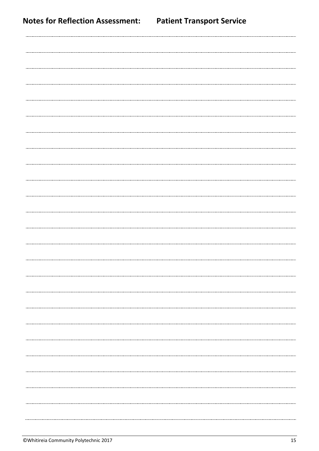| <b>Notes for Reflection Assessment:</b> | <b>Patient Transport Service</b> |
|-----------------------------------------|----------------------------------|
|                                         |                                  |
|                                         |                                  |
|                                         |                                  |
|                                         |                                  |
|                                         |                                  |
|                                         |                                  |
|                                         |                                  |
|                                         |                                  |
|                                         |                                  |
|                                         |                                  |
|                                         |                                  |
|                                         |                                  |
|                                         |                                  |
|                                         |                                  |
|                                         |                                  |
|                                         |                                  |
|                                         |                                  |
|                                         |                                  |
|                                         |                                  |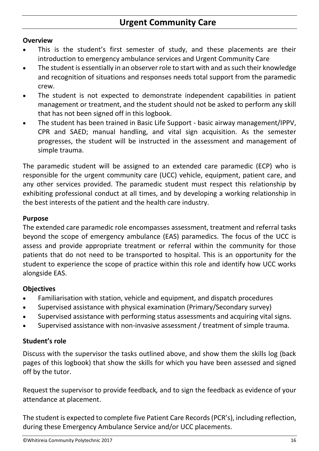## **Urgent Community Care**

## **Overview**

- This is the student's first semester of study, and these placements are their introduction to emergency ambulance services and Urgent Community Care
- The student is essentially in an observer role to start with and as such their knowledge and recognition of situations and responses needs total support from the paramedic crew.
- The student is not expected to demonstrate independent capabilities in patient management or treatment, and the student should not be asked to perform any skill that has not been signed off in this logbook.
- The student has been trained in Basic Life Support basic airway management/IPPV, CPR and SAED; manual handling, and vital sign acquisition. As the semester progresses, the student will be instructed in the assessment and management of simple trauma.

The paramedic student will be assigned to an extended care paramedic (ECP) who is responsible for the urgent community care (UCC) vehicle, equipment, patient care, and any other services provided. The paramedic student must respect this relationship by exhibiting professional conduct at all times, and by developing a working relationship in the best interests of the patient and the health care industry.

#### **Purpose**

The extended care paramedic role encompasses assessment, treatment and referral tasks beyond the scope of emergency ambulance (EAS) paramedics. The focus of the UCC is assess and provide appropriate treatment or referral within the community for those patients that do not need to be transported to hospital. This is an opportunity for the student to experience the scope of practice within this role and identify how UCC works alongside EAS.

## **Objectives**

- Familiarisation with station, vehicle and equipment, and dispatch procedures
- Supervised assistance with physical examination (Primary/Secondary survey)
- Supervised assistance with performing status assessments and acquiring vital signs.
- Supervised assistance with non-invasive assessment / treatment of simple trauma.

## **Student's role**

Discuss with the supervisor the tasks outlined above, and show them the skills log (back pages of this logbook) that show the skills for which you have been assessed and signed off by the tutor.

Request the supervisor to provide feedback*,* and to sign the feedback as evidence of your attendance at placement.

The student is expected to complete five Patient Care Records (PCR's), including reflection, during these Emergency Ambulance Service and/or UCC placements.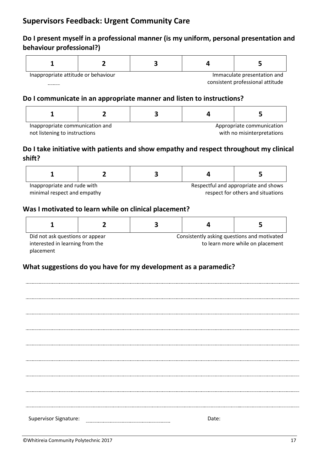## **Supervisors Feedback: Urgent Community Care**

## **Do I present myself in a professional manner (is my uniform, personal presentation and behaviour professional?)**

| Inappropriate attitude or behaviour<br>Immaculate presentation and |  |  |                                  |  |
|--------------------------------------------------------------------|--|--|----------------------------------|--|
|                                                                    |  |  | consistent professional attitude |  |

#### **Do I communicate in an appropriate manner and listen to instructions?**

| Inannronriate communication and |  | Annropriate communication |
|---------------------------------|--|---------------------------|

Inappropriate communication and not listening to instructions

Appropriate communication with no misinterpretations

## **Do I take initiative with patients and show empathy and respect throughout my clinical shift?**

| Inappropriate and rude with |  |  | Respectful and appropriate and shows |
|-----------------------------|--|--|--------------------------------------|
| minimal respect and empathy |  |  | respect for others and situations    |

## **Was I motivated to learn while on clinical placement?**

| Did not ask questions or appear | Consistently asking questions and motivated |  |  |
|---------------------------------|---------------------------------------------|--|--|
| interested in learning from the | to learn more while on placement            |  |  |
| placement                       |                                             |  |  |

| Supervisor Signature: | Date: |
|-----------------------|-------|
|                       |       |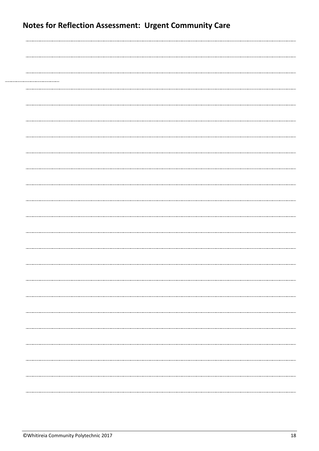| <b>Notes for Reflection Assessment: Urgent Community Care</b> |  |                                     |
|---------------------------------------------------------------|--|-------------------------------------|
|                                                               |  |                                     |
|                                                               |  |                                     |
|                                                               |  |                                     |
|                                                               |  |                                     |
|                                                               |  |                                     |
|                                                               |  |                                     |
|                                                               |  |                                     |
|                                                               |  |                                     |
|                                                               |  |                                     |
|                                                               |  |                                     |
|                                                               |  |                                     |
|                                                               |  |                                     |
|                                                               |  |                                     |
|                                                               |  |                                     |
|                                                               |  | ----------------------------------- |
|                                                               |  |                                     |
|                                                               |  |                                     |
|                                                               |  |                                     |
|                                                               |  |                                     |
|                                                               |  |                                     |
|                                                               |  | ----------------------------------  |
|                                                               |  |                                     |

...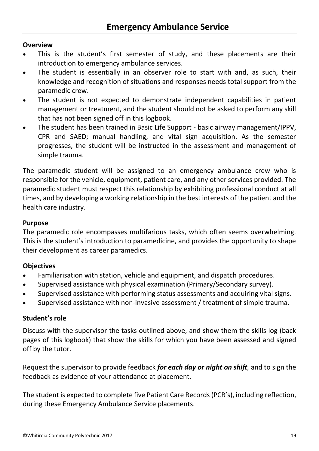## **Emergency Ambulance Service**

#### **Overview**

- This is the student's first semester of study, and these placements are their introduction to emergency ambulance services.
- The student is essentially in an observer role to start with and, as such, their knowledge and recognition of situations and responses needs total support from the paramedic crew.
- The student is not expected to demonstrate independent capabilities in patient management or treatment, and the student should not be asked to perform any skill that has not been signed off in this logbook.
- The student has been trained in Basic Life Support basic airway management/IPPV, CPR and SAED; manual handling, and vital sign acquisition. As the semester progresses, the student will be instructed in the assessment and management of simple trauma.

The paramedic student will be assigned to an emergency ambulance crew who is responsible for the vehicle, equipment, patient care, and any other services provided. The paramedic student must respect this relationship by exhibiting professional conduct at all times, and by developing a working relationship in the best interests of the patient and the health care industry.

#### **Purpose**

The paramedic role encompasses multifarious tasks, which often seems overwhelming. This is the student's introduction to paramedicine, and provides the opportunity to shape their development as career paramedics.

## **Objectives**

- Familiarisation with station, vehicle and equipment, and dispatch procedures.
- Supervised assistance with physical examination (Primary/Secondary survey).
- Supervised assistance with performing status assessments and acquiring vital signs.
- Supervised assistance with non-invasive assessment / treatment of simple trauma.

#### **Student's role**

Discuss with the supervisor the tasks outlined above, and show them the skills log (back pages of this logbook) that show the skills for which you have been assessed and signed off by the tutor.

Request the supervisor to provide feedback *for each day or night on shift,* and to sign the feedback as evidence of your attendance at placement.

The student is expected to complete five Patient Care Records (PCR's), including reflection, during these Emergency Ambulance Service placements.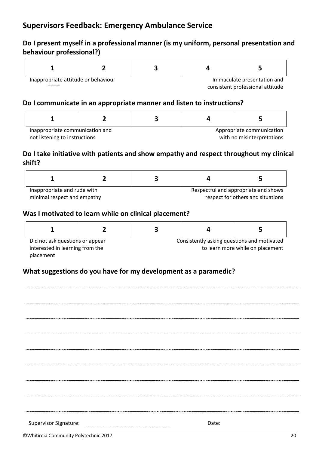## **Do I present myself in a professional manner (is my uniform, personal presentation and behaviour professional?)**

| Inappropriate attitude or behaviour |  | Immaculate presentation and      |
|-------------------------------------|--|----------------------------------|
|                                     |  | consistent professional attitude |

#### **Do I communicate in an appropriate manner and listen to instructions?**

| Inappropriate communication and |  |  | Appropriate communication |
|---------------------------------|--|--|---------------------------|

not listening to instructions

with no misinterpretations

## **Do I take initiative with patients and show empathy and respect throughout my clinical shift?**

| Inappropriate and rude with |  |  | Respectful and appropriate and shows |
|-----------------------------|--|--|--------------------------------------|
| minimal respect and empathy |  |  | respect for others and situations    |

#### **Was I motivated to learn while on clinical placement?**

| Did not ask questions or appear | Consistently asking questions and motivated |  |  |
|---------------------------------|---------------------------------------------|--|--|
| interested in learning from the | to learn more while on placement            |  |  |
| placement                       |                                             |  |  |

| ©Whitireia Community Polytechnic 2017 |       | 20 |
|---------------------------------------|-------|----|
| Supervisor Signature:                 | Date: |    |
|                                       |       |    |
|                                       |       |    |
|                                       |       |    |
|                                       |       |    |
|                                       |       |    |
|                                       |       |    |
|                                       |       |    |
|                                       |       |    |
|                                       |       |    |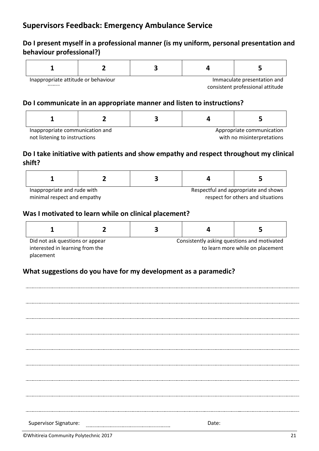## **Do I present myself in a professional manner (is my uniform, personal presentation and behaviour professional?)**

| Inappropriate attitude or behaviour |                                  |  | Immaculate presentation and |
|-------------------------------------|----------------------------------|--|-----------------------------|
|                                     | consistent professional attitude |  |                             |

#### **Do I communicate in an appropriate manner and listen to instructions?**

| Inappropriate communication and |  |  | Appropriate communication |
|---------------------------------|--|--|---------------------------|

not listening to instructions

with no misinterpretations

## **Do I take initiative with patients and show empathy and respect throughout my clinical shift?**

| Inappropriate and rude with |  |  | Respectful and appropriate and shows |
|-----------------------------|--|--|--------------------------------------|
| minimal respect and empathy |  |  | respect for others and situations    |

#### **Was I motivated to learn while on clinical placement?**

| Did not ask questions or appear | Consistently asking questions and motivated |  |  |
|---------------------------------|---------------------------------------------|--|--|
| interested in learning from the | to learn more while on placement            |  |  |
| placement                       |                                             |  |  |

| ©Whitireia Community Polytechnic 2017 |       | 21 |
|---------------------------------------|-------|----|
| Supervisor Signature:                 | Date: |    |
|                                       |       |    |
|                                       |       |    |
|                                       |       |    |
|                                       |       |    |
|                                       |       |    |
|                                       |       |    |
|                                       |       |    |
|                                       |       |    |
|                                       |       |    |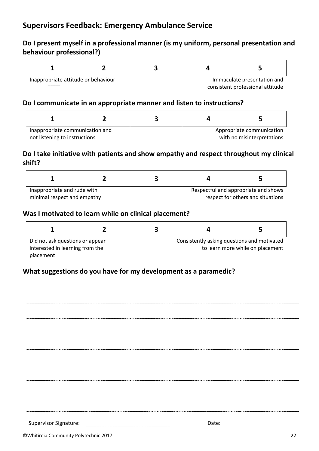## **Do I present myself in a professional manner (is my uniform, personal presentation and behaviour professional?)**

| Inappropriate attitude or behaviour |  | Immaculate presentation and |                                  |
|-------------------------------------|--|-----------------------------|----------------------------------|
|                                     |  |                             | consistent professional attitude |

#### **Do I communicate in an appropriate manner and listen to instructions?**

| Inappropriate communication and |  |  | Appropriate communication |
|---------------------------------|--|--|---------------------------|

not listening to instructions

with no misinterpretations

## **Do I take initiative with patients and show empathy and respect throughout my clinical shift?**

| Inappropriate and rude with |  |  | Respectful and appropriate and shows |
|-----------------------------|--|--|--------------------------------------|
| minimal respect and empathy |  |  | respect for others and situations    |

#### **Was I motivated to learn while on clinical placement?**

| Did not ask questions or appear | Consistently asking questions and motivated |  |                                  |  |  |  |  |  |
|---------------------------------|---------------------------------------------|--|----------------------------------|--|--|--|--|--|
| interested in learning from the |                                             |  | to learn more while on placement |  |  |  |  |  |
| placement                       |                                             |  |                                  |  |  |  |  |  |

| ©Whitireia Community Polytechnic 2017 |       | 22 |
|---------------------------------------|-------|----|
| Supervisor Signature:                 | Date: |    |
|                                       |       |    |
|                                       |       |    |
|                                       |       |    |
|                                       |       |    |
|                                       |       |    |
|                                       |       |    |
|                                       |       |    |
|                                       |       |    |
|                                       |       |    |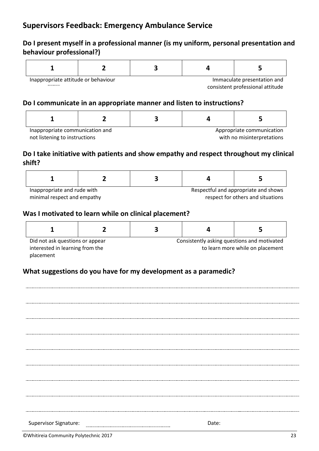## **Do I present myself in a professional manner (is my uniform, personal presentation and behaviour professional?)**

| Inappropriate attitude or behaviour |  | Immaculate presentation and      |
|-------------------------------------|--|----------------------------------|
|                                     |  | consistent professional attitude |

#### **Do I communicate in an appropriate manner and listen to instructions?**

| Inappropriate communication and |  | Appropriate communication |
|---------------------------------|--|---------------------------|

not listening to instructions

with no misinterpretations

## **Do I take initiative with patients and show empathy and respect throughout my clinical shift?**

| Inappropriate and rude with |  | Respectful and appropriate and shows |
|-----------------------------|--|--------------------------------------|
| minimal respect and empathy |  | respect for others and situations    |

#### **Was I motivated to learn while on clinical placement?**

| Did not ask questions or appear |  | Consistently asking questions and motivated |  |  |  |  |  |
|---------------------------------|--|---------------------------------------------|--|--|--|--|--|
| interested in learning from the |  | to learn more while on placement            |  |  |  |  |  |
| placement                       |  |                                             |  |  |  |  |  |

## **What suggestions do you have for my development as a paramedic?**

Supervisor Signature: Date:©Whitireia Community Polytechnic 2017 23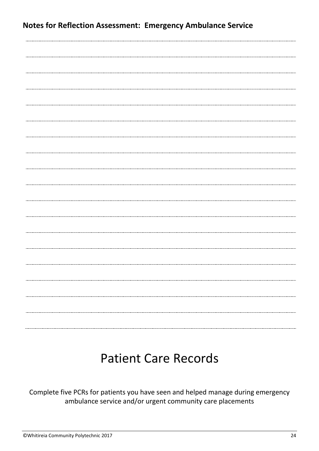| <b>Notes for Reflection Assessment: Emergency Ambulance Service</b> |  |
|---------------------------------------------------------------------|--|
|                                                                     |  |
|                                                                     |  |
|                                                                     |  |
|                                                                     |  |
|                                                                     |  |
|                                                                     |  |
|                                                                     |  |
|                                                                     |  |
|                                                                     |  |
|                                                                     |  |
|                                                                     |  |
|                                                                     |  |
|                                                                     |  |
|                                                                     |  |
|                                                                     |  |
|                                                                     |  |
|                                                                     |  |

## Patient Care Records

Complete five PCRs for patients you have seen and helped manage during emergency ambulance service and/or urgent community care placements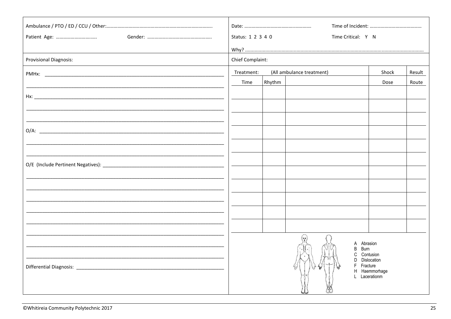| Patient Age:                  | Status: 1 2 3 4 0 |        | Time Critical: Y N          |               |        |
|-------------------------------|-------------------|--------|-----------------------------|---------------|--------|
|                               |                   |        |                             |               |        |
| <b>Provisional Diagnosis:</b> | Chief Complaint:  |        |                             |               |        |
|                               | Treatment:        |        | (All ambulance treatment)   | Shock         | Result |
|                               | Time              | Rhythm |                             | Dose          | Route  |
|                               |                   |        |                             |               |        |
|                               |                   |        |                             |               |        |
|                               |                   |        |                             |               |        |
|                               |                   |        |                             |               |        |
|                               |                   |        |                             |               |        |
|                               |                   |        |                             |               |        |
|                               |                   |        |                             |               |        |
|                               |                   |        |                             |               |        |
|                               |                   |        |                             |               |        |
|                               |                   |        |                             |               |        |
|                               |                   |        |                             |               |        |
|                               |                   |        |                             |               |        |
|                               |                   |        |                             |               |        |
|                               |                   |        | A Abrasion                  |               |        |
|                               |                   |        | Burn<br>B<br>C              | Contusion     |        |
|                               |                   |        | D Dislocation<br>F Fracture |               |        |
|                               |                   |        | L Lacerationm               | H Haemmorhage |        |
|                               |                   |        |                             |               |        |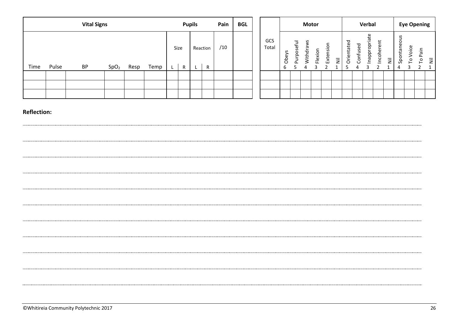|      | <b>Vital Signs</b><br><b>Pupils</b> |           |                  |      |      | Pain      | <b>BGL</b> |               |     |  |  | <b>Motor</b> |                                        |                                 |                     |         |                                 | Verbal                    |                |                     |                                         | <b>Eye Opening</b>                       |   |                         |             |                 |           |
|------|-------------------------------------|-----------|------------------|------|------|-----------|------------|---------------|-----|--|--|--------------|----------------------------------------|---------------------------------|---------------------|---------|---------------------------------|---------------------------|----------------|---------------------|-----------------------------------------|------------------------------------------|---|-------------------------|-------------|-----------------|-----------|
| Time | Pulse                               | <b>BP</b> | SpO <sub>2</sub> | Resp | Temp | Size<br>R | L.         | Reaction<br>R | /10 |  |  | GCS<br>Total | ပ<br>⋋<br>$\mathbf{\sigma}$<br>රි<br>b | eful<br>S<br>C<br>g<br>$\Omega$ | S<br>ರ<br>Vith<br>2 | Flexion | oisi<br>$\mathbf \omega$<br>Εxt | $\overline{\overline{z}}$ | P<br>Orientate | ℧<br>S<br>-<br>onfi | Φ<br>riat<br>$\Omega$<br><u>pp</u><br>ā | $\tilde{\epsilon}$<br>¢<br><u>ي</u><br>= | Ξ | taneous<br>ā<br>နှ<br>4 | ഄ<br>ö<br>o | Pain<br>$\circ$ | $\bar{z}$ |
|      |                                     |           |                  |      |      |           |            |               |     |  |  |              |                                        |                                 |                     |         |                                 |                           |                |                     |                                         |                                          |   |                         |             |                 |           |
|      |                                     |           |                  |      |      |           |            |               |     |  |  |              |                                        |                                 |                     |         |                                 |                           |                |                     |                                         |                                          |   |                         |             |                 |           |
|      |                                     |           |                  |      |      |           |            |               |     |  |  |              |                                        |                                 |                     |         |                                 |                           |                |                     |                                         |                                          |   |                         |             |                 |           |

| ©Whitireia Community Polytechnic 2017 | ۷b |
|---------------------------------------|----|
|---------------------------------------|----|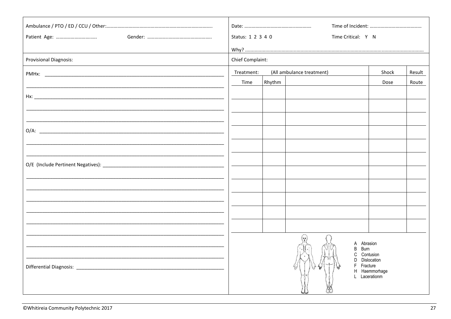| Patient Age:                  | Status: 1 2 3 4 0 |        | Time Critical: Y N        |                                |        |
|-------------------------------|-------------------|--------|---------------------------|--------------------------------|--------|
|                               |                   |        |                           |                                |        |
| <b>Provisional Diagnosis:</b> | Chief Complaint:  |        |                           |                                |        |
|                               | Treatment:        |        | (All ambulance treatment) | Shock                          | Result |
|                               | Time              | Rhythm |                           | Dose                           | Route  |
|                               |                   |        |                           |                                |        |
|                               |                   |        |                           |                                |        |
|                               |                   |        |                           |                                |        |
|                               |                   |        |                           |                                |        |
|                               |                   |        |                           |                                |        |
|                               |                   |        |                           |                                |        |
|                               |                   |        |                           |                                |        |
|                               |                   |        |                           |                                |        |
|                               |                   |        |                           |                                |        |
|                               |                   |        |                           |                                |        |
|                               |                   |        |                           |                                |        |
|                               |                   |        |                           |                                |        |
|                               |                   |        |                           |                                |        |
|                               |                   |        | A Abrasion                |                                |        |
|                               |                   |        | Burn<br>B<br>C            | Contusion                      |        |
|                               |                   |        | F Fracture                | D Dislocation                  |        |
|                               |                   |        |                           | H Haemmorhage<br>L Lacerationm |        |
|                               |                   |        |                           |                                |        |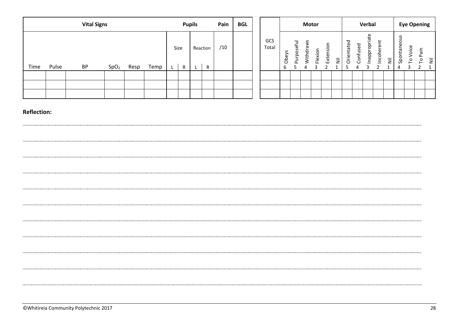|      | <b>Vital Signs</b><br><b>Pupils</b> |           |                  |      |      | Pain      | <b>BGL</b> |               |     |  |  | <b>Motor</b> |                                        |                                 |                     |         |                                 | Verbal                    |                |                     |                                         | <b>Eye Opening</b>                       |   |                         |             |                 |           |
|------|-------------------------------------|-----------|------------------|------|------|-----------|------------|---------------|-----|--|--|--------------|----------------------------------------|---------------------------------|---------------------|---------|---------------------------------|---------------------------|----------------|---------------------|-----------------------------------------|------------------------------------------|---|-------------------------|-------------|-----------------|-----------|
| Time | Pulse                               | <b>BP</b> | SpO <sub>2</sub> | Resp | Temp | Size<br>R | L.         | Reaction<br>R | /10 |  |  | GCS<br>Total | ပ<br>⋋<br>$\mathbf{\sigma}$<br>රි<br>b | eful<br>S<br>C<br>g<br>$\Omega$ | ပ<br>ರ<br>Vith<br>2 | Flexion | oisi<br>$\mathbf \omega$<br>Εxt | $\overline{\overline{z}}$ | P<br>Orientate | ℧<br>S<br>-<br>onfi | Φ<br>riat<br>$\Omega$<br><u>pp</u><br>ā | $\tilde{\epsilon}$<br>¢<br><u>ي</u><br>= | Ξ | taneous<br>ā<br>နှ<br>4 | ഄ<br>ö<br>o | Pain<br>$\circ$ | $\bar{z}$ |
|      |                                     |           |                  |      |      |           |            |               |     |  |  |              |                                        |                                 |                     |         |                                 |                           |                |                     |                                         |                                          |   |                         |             |                 |           |
|      |                                     |           |                  |      |      |           |            |               |     |  |  |              |                                        |                                 |                     |         |                                 |                           |                |                     |                                         |                                          |   |                         |             |                 |           |
|      |                                     |           |                  |      |      |           |            |               |     |  |  |              |                                        |                                 |                     |         |                                 |                           |                |                     |                                         |                                          |   |                         |             |                 |           |

| ©Whitireia Community Polytechnic 2017 |  |
|---------------------------------------|--|
|---------------------------------------|--|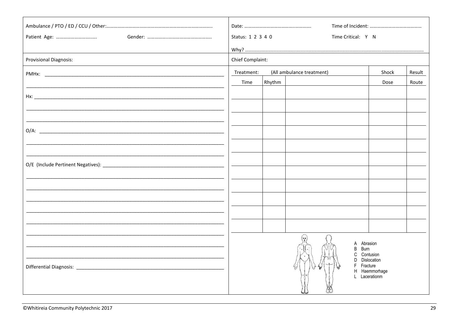| Patient Age:                  | Status: 1 2 3 4 0 |        | Time Critical: Y N        |                                |        |
|-------------------------------|-------------------|--------|---------------------------|--------------------------------|--------|
|                               |                   |        |                           |                                |        |
| <b>Provisional Diagnosis:</b> | Chief Complaint:  |        |                           |                                |        |
|                               | Treatment:        |        | (All ambulance treatment) | Shock                          | Result |
|                               | Time              | Rhythm |                           | Dose                           | Route  |
|                               |                   |        |                           |                                |        |
|                               |                   |        |                           |                                |        |
|                               |                   |        |                           |                                |        |
|                               |                   |        |                           |                                |        |
|                               |                   |        |                           |                                |        |
|                               |                   |        |                           |                                |        |
|                               |                   |        |                           |                                |        |
|                               |                   |        |                           |                                |        |
|                               |                   |        |                           |                                |        |
|                               |                   |        |                           |                                |        |
|                               |                   |        |                           |                                |        |
|                               |                   |        |                           |                                |        |
|                               |                   |        |                           |                                |        |
|                               |                   |        | A Abrasion                |                                |        |
|                               |                   |        | Burn<br>B<br>C            | Contusion                      |        |
|                               |                   |        | F Fracture                | D Dislocation                  |        |
|                               |                   |        |                           | H Haemmorhage<br>L Lacerationm |        |
|                               |                   |        |                           |                                |        |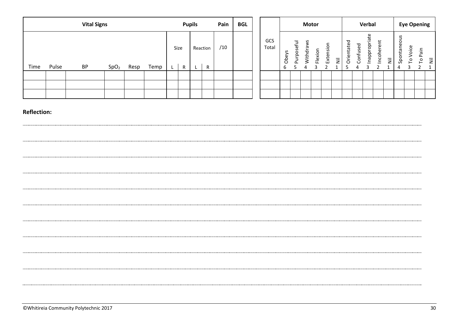|      |       | <b>Vital Signs</b> |                  |      |      |           | <b>Pupils</b> |               | Pain | <b>BGL</b> |              |                                        |                                 | <b>Motor</b>        |         |                                 |                           |                |                     | Verbal                                  |                                          |   |                         | <b>Eye Opening</b> |                 |           |
|------|-------|--------------------|------------------|------|------|-----------|---------------|---------------|------|------------|--------------|----------------------------------------|---------------------------------|---------------------|---------|---------------------------------|---------------------------|----------------|---------------------|-----------------------------------------|------------------------------------------|---|-------------------------|--------------------|-----------------|-----------|
| Time | Pulse | <b>BP</b>          | SpO <sub>2</sub> | Resp | Temp | Size<br>R | L.            | Reaction<br>R | /10  |            | GCS<br>Total | ပ<br>⋋<br>$\mathbf{\sigma}$<br>රි<br>b | eful<br>S<br>C<br>g<br>$\Omega$ | ပ<br>ರ<br>Vith<br>2 | Flexion | oisi<br>$\mathbf \omega$<br>Εxt | $\overline{\overline{z}}$ | P<br>Orientate | ℧<br>S<br>-<br>onfi | Φ<br>riat<br>$\Omega$<br><u>pp</u><br>ā | $\tilde{\epsilon}$<br>¢<br><u>ي</u><br>= | Ξ | taneous<br>ā<br>နှ<br>4 | ഄ<br>ö<br>o        | Pain<br>$\circ$ | $\bar{z}$ |
|      |       |                    |                  |      |      |           |               |               |      |            |              |                                        |                                 |                     |         |                                 |                           |                |                     |                                         |                                          |   |                         |                    |                 |           |
|      |       |                    |                  |      |      |           |               |               |      |            |              |                                        |                                 |                     |         |                                 |                           |                |                     |                                         |                                          |   |                         |                    |                 |           |
|      |       |                    |                  |      |      |           |               |               |      |            |              |                                        |                                 |                     |         |                                 |                           |                |                     |                                         |                                          |   |                         |                    |                 |           |

| ©Whitireia Community Polytechnic 2017 |  |
|---------------------------------------|--|
|---------------------------------------|--|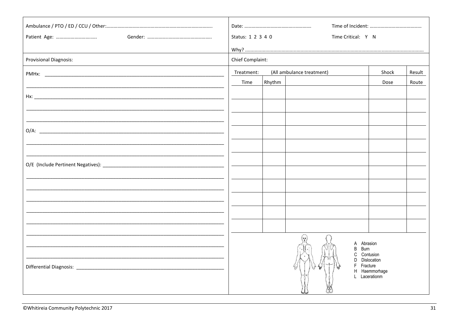|                               | Status: 1 2 3 4 0 |        | Time Critical: Y N        |                              |        |
|-------------------------------|-------------------|--------|---------------------------|------------------------------|--------|
|                               |                   |        |                           |                              |        |
| <b>Provisional Diagnosis:</b> | Chief Complaint:  |        |                           |                              |        |
|                               | Treatment:        |        | (All ambulance treatment) | Shock                        | Result |
|                               | Time              | Rhythm |                           | Dose                         | Route  |
|                               |                   |        |                           |                              |        |
|                               |                   |        |                           |                              |        |
|                               |                   |        |                           |                              |        |
|                               |                   |        |                           |                              |        |
|                               |                   |        |                           |                              |        |
|                               |                   |        |                           |                              |        |
|                               |                   |        |                           |                              |        |
|                               |                   |        |                           |                              |        |
|                               |                   |        |                           |                              |        |
|                               |                   |        |                           |                              |        |
|                               |                   |        |                           |                              |        |
|                               |                   |        |                           |                              |        |
|                               |                   |        |                           |                              |        |
|                               |                   |        | A                         | Abrasion                     |        |
|                               |                   |        | Burn<br>B<br>C            | Contusion                    |        |
|                               |                   |        |                           | D Dislocation<br>Fracture    |        |
|                               |                   |        |                           | H Haemmorhage<br>Lacerationm |        |
|                               |                   |        |                           |                              |        |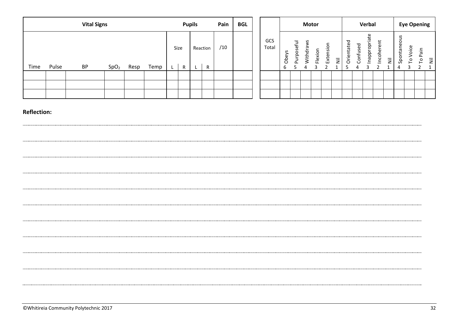|      |       | <b>Vital Signs</b> |                  |      |      |           | <b>Pupils</b> |               | Pain | <b>BGL</b> |              |                                        |                                 | <b>Motor</b>        |         |                                 |                           |                |                     | Verbal                                  |                                          |   |                         | <b>Eye Opening</b> |                 |           |
|------|-------|--------------------|------------------|------|------|-----------|---------------|---------------|------|------------|--------------|----------------------------------------|---------------------------------|---------------------|---------|---------------------------------|---------------------------|----------------|---------------------|-----------------------------------------|------------------------------------------|---|-------------------------|--------------------|-----------------|-----------|
| Time | Pulse | <b>BP</b>          | SpO <sub>2</sub> | Resp | Temp | Size<br>R | L.            | Reaction<br>R | /10  |            | GCS<br>Total | ပ<br>⋋<br>$\mathbf{\sigma}$<br>රි<br>b | eful<br>S<br>C<br>g<br>$\Omega$ | ပ<br>ರ<br>Vith<br>2 | Flexion | oisi<br>$\mathbf \omega$<br>Εxt | $\overline{\overline{z}}$ | P<br>Orientate | ℧<br>S<br>-<br>onfi | Φ<br>riat<br>$\Omega$<br><u>pp</u><br>ā | $\tilde{\epsilon}$<br>¢<br><u>ي</u><br>= | Ξ | taneous<br>ā<br>နှ<br>4 | ഄ<br>ö<br>o        | Pain<br>$\circ$ | $\bar{z}$ |
|      |       |                    |                  |      |      |           |               |               |      |            |              |                                        |                                 |                     |         |                                 |                           |                |                     |                                         |                                          |   |                         |                    |                 |           |
|      |       |                    |                  |      |      |           |               |               |      |            |              |                                        |                                 |                     |         |                                 |                           |                |                     |                                         |                                          |   |                         |                    |                 |           |
|      |       |                    |                  |      |      |           |               |               |      |            |              |                                        |                                 |                     |         |                                 |                           |                |                     |                                         |                                          |   |                         |                    |                 |           |

 $\sim$  . The contract of the contract of the contract of the contract of the contract of the contract of the contract of the contract of the contract of the contract of the contract of the contract of the contract of the co

| ©Whitireia Community Polytechnic 2017 |  |
|---------------------------------------|--|
|---------------------------------------|--|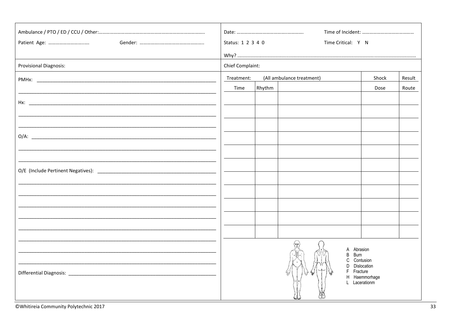| Patient Age:                  | Status: 1 2 3 4 0 |        | Time Critical: Y N        |               |        |
|-------------------------------|-------------------|--------|---------------------------|---------------|--------|
|                               |                   |        |                           |               |        |
| <b>Provisional Diagnosis:</b> | Chief Complaint:  |        |                           |               |        |
|                               | Treatment:        |        | (All ambulance treatment) | Shock         | Result |
|                               | Time              | Rhythm |                           | Dose          | Route  |
|                               |                   |        |                           |               |        |
|                               |                   |        |                           |               |        |
|                               |                   |        |                           |               |        |
|                               |                   |        |                           |               |        |
|                               |                   |        |                           |               |        |
|                               |                   |        |                           |               |        |
|                               |                   |        |                           |               |        |
|                               |                   |        |                           |               |        |
|                               |                   |        |                           |               |        |
|                               |                   |        |                           |               |        |
|                               |                   |        |                           |               |        |
|                               |                   |        |                           |               |        |
|                               |                   |        |                           |               |        |
|                               |                   |        | A<br><b>Burn</b><br>B     | Abrasion      |        |
|                               |                   |        | C<br>D Dislocation        | Contusion     |        |
|                               |                   |        | Fracture                  | H Haemmorhage |        |
|                               |                   |        | L Lacerationm             |               |        |
|                               |                   |        |                           |               |        |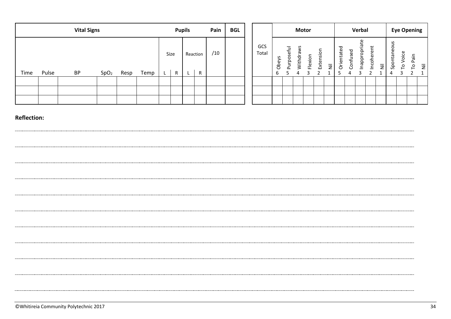|      |       | <b>Vital Signs</b> |                  |      |      |           | <b>Pupils</b> |               | Pain | <b>BGL</b> |              |            |                             | <b>Motor</b>           |         |          |   |                |                            | Verbal                          |                                           |   |                          |                 | <b>Eye Opening</b>   |   |
|------|-------|--------------------|------------------|------|------|-----------|---------------|---------------|------|------------|--------------|------------|-----------------------------|------------------------|---------|----------|---|----------------|----------------------------|---------------------------------|-------------------------------------------|---|--------------------------|-----------------|----------------------|---|
| Time | Pulse | <b>BP</b>          | SpO <sub>2</sub> | Resp | Temp | Size<br>R | L             | Reaction<br>R | /10  |            | GCS<br>Total | Obeys<br>b | eful<br>U.<br>C<br>gun<br>௨ | š<br>G<br>Withdra<br>Δ | Flexion | Extensio | Ξ | ᅙ<br>Orientate | ರ<br>Φ<br>S<br>⊃<br>Ξ<br>4 | riate<br>Эo<br>$\Omega$<br>ldeu | $\overline{E}$<br>$\omega$<br>Φ<br>Ē<br>ě | Ξ | S<br>ontaneou<br>နှ<br>4 | oice<br>$\circ$ | Pain<br>$\circ$<br>⊢ | Ξ |
|      |       |                    |                  |      |      |           |               |               |      |            |              |            |                             |                        |         |          |   |                |                            |                                 |                                           |   |                          |                 |                      |   |
|      |       |                    |                  |      |      |           |               |               |      |            |              |            |                             |                        |         |          |   |                |                            |                                 |                                           |   |                          |                 |                      |   |
|      |       |                    |                  |      |      |           |               |               |      |            |              |            |                             |                        |         |          |   |                |                            |                                 |                                           |   |                          |                 |                      |   |

#### **Reflection:**

 $\cdots$ 

. . . . . .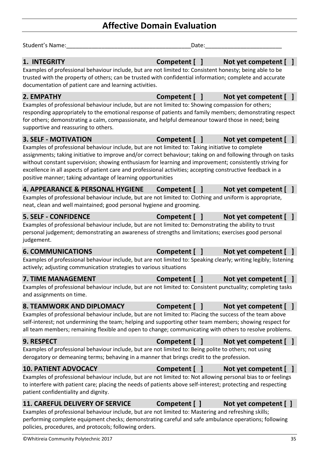## **Affective Domain Evaluation**

| Student's Name:                                                                                                                                                                                                                                                                                                                                                                                                                                                                                             | Date:         |                       |
|-------------------------------------------------------------------------------------------------------------------------------------------------------------------------------------------------------------------------------------------------------------------------------------------------------------------------------------------------------------------------------------------------------------------------------------------------------------------------------------------------------------|---------------|-----------------------|
| 1. INTEGRITY<br>Examples of professional behaviour include, but are not limited to: Consistent honesty; being able to be<br>trusted with the property of others; can be trusted with confidential information; complete and accurate<br>documentation of patient care and learning activities.                                                                                                                                                                                                              | Competent [ ] | Not yet competent [ ] |
| 2. EMPATHY                                                                                                                                                                                                                                                                                                                                                                                                                                                                                                  | Competent [ ] | Not yet competent [   |
| Examples of professional behaviour include, but are not limited to: Showing compassion for others;<br>responding appropriately to the emotional response of patients and family members; demonstrating respect<br>for others; demonstrating a calm, compassionate, and helpful demeanour toward those in need; being<br>supportive and reassuring to others.                                                                                                                                                |               |                       |
| <b>3. SELF - MOTIVATION</b>                                                                                                                                                                                                                                                                                                                                                                                                                                                                                 | Competent [ ] | Not yet competent [ ] |
| Examples of professional behaviour include, but are not limited to: Taking initiative to complete<br>assignments; taking initiative to improve and/or correct behaviour; taking on and following through on tasks<br>without constant supervision; showing enthusiasm for learning and improvement; consistently striving for<br>excellence in all aspects of patient care and professional activities; accepting constructive feedback in a<br>positive manner; taking advantage of learning opportunities |               |                       |
| <b>4. APPEARANCE &amp; PERSONAL HYGIENE</b>                                                                                                                                                                                                                                                                                                                                                                                                                                                                 | Competent [ ] | Not yet competent [   |
| Examples of professional behaviour include, but are not limited to: Clothing and uniform is appropriate,<br>neat, clean and well maintained; good personal hygiene and grooming.                                                                                                                                                                                                                                                                                                                            |               |                       |
| <b>5. SELF - CONFIDENCE</b>                                                                                                                                                                                                                                                                                                                                                                                                                                                                                 | Competent [ ] | Not yet competent []  |
| Examples of professional behaviour include, but are not limited to: Demonstrating the ability to trust<br>personal judgement; demonstrating an awareness of strengths and limitations; exercises good personal<br>judgement.                                                                                                                                                                                                                                                                                |               |                       |
| <b>6. COMMUNICATIONS</b>                                                                                                                                                                                                                                                                                                                                                                                                                                                                                    | Competent [ ] | Not yet competent [ ] |
| Examples of professional behaviour include, but are not limited to: Speaking clearly; writing legibly; listening<br>actively; adjusting communication strategies to various situations                                                                                                                                                                                                                                                                                                                      |               |                       |
| 7. TIME MANAGEMENT<br>Examples of professional behaviour include, but are not limited to: Consistent punctuality; completing tasks<br>and assignments on time.                                                                                                                                                                                                                                                                                                                                              | Competent [ ] | Not yet competent [ ] |
| <b>8. TEAMWORK AND DIPLOMACY</b><br>Examples of professional behaviour include, but are not limited to: Placing the success of the team above<br>self-interest; not undermining the team; helping and supporting other team members; showing respect for<br>all team members; remaining flexible and open to change; communicating with others to resolve problems.                                                                                                                                         | Competent [ ] | Not yet competent [ ] |
| <b>9. RESPECT</b>                                                                                                                                                                                                                                                                                                                                                                                                                                                                                           | Competent [ ] | Not yet competent [ ] |
| Examples of professional behaviour include, but are not limited to: Being polite to others; not using<br>derogatory or demeaning terms; behaving in a manner that brings credit to the profession.                                                                                                                                                                                                                                                                                                          |               |                       |
| <b>10. PATIENT ADVOCACY</b>                                                                                                                                                                                                                                                                                                                                                                                                                                                                                 | Competent [ ] | Not yet competent [ ] |
| Examples of professional behaviour include, but are not limited to: Not allowing personal bias to or feelings<br>to interfere with patient care; placing the needs of patients above self-interest; protecting and respecting<br>patient confidentiality and dignity.                                                                                                                                                                                                                                       |               |                       |
| <b>11. CAREFUL DELIVERY OF SERVICE</b>                                                                                                                                                                                                                                                                                                                                                                                                                                                                      | Competent [ ] | Not yet competent [ ] |
| Examples of professional behaviour include, but are not limited to: Mastering and refreshing skills;<br>performing complete equipment checks; demonstrating careful and safe ambulance operations; following<br>policies, procedures, and protocols; following orders.                                                                                                                                                                                                                                      |               |                       |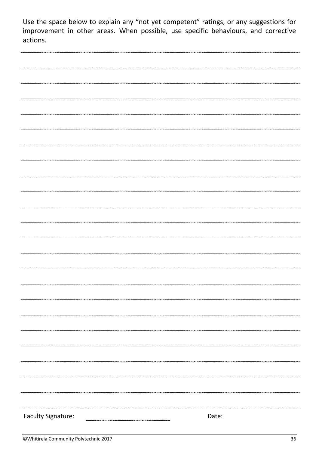Use the space below to explain any "not yet competent" ratings, or any suggestions for improvement in other areas. When possible, use specific behaviours, and corrective actions.

| <b>Faculty Signature:</b> | Date: |
|---------------------------|-------|
|                           |       |
|                           |       |
|                           |       |
|                           |       |
|                           |       |
|                           |       |
|                           |       |
|                           |       |
|                           |       |
|                           |       |
|                           |       |
|                           |       |
| ------------------        |       |
|                           |       |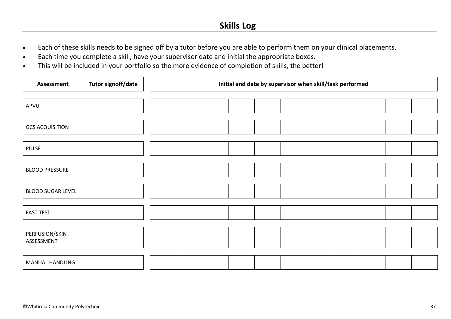## **Skills Log**

- Each of these skills needs to be signed off by a tutor before you are able to perform them on your clinical placements.
- Each time you complete a skill, have your supervisor date and initial the appropriate boxes.
- This will be included in your portfolio so the more evidence of completion of skills, the better!

| <b>Assessment</b>            | <b>Tutor signoff/date</b> | Initial and date by supervisor when skill/task performed |  |  |  |  |  |  |  |  |  |  |  |  |
|------------------------------|---------------------------|----------------------------------------------------------|--|--|--|--|--|--|--|--|--|--|--|--|
| APVU                         |                           |                                                          |  |  |  |  |  |  |  |  |  |  |  |  |
|                              |                           |                                                          |  |  |  |  |  |  |  |  |  |  |  |  |
| <b>GCS ACQUISITION</b>       |                           |                                                          |  |  |  |  |  |  |  |  |  |  |  |  |
| <b>PULSE</b>                 |                           |                                                          |  |  |  |  |  |  |  |  |  |  |  |  |
| <b>BLOOD PRESSURE</b>        |                           |                                                          |  |  |  |  |  |  |  |  |  |  |  |  |
| <b>BLOOD SUGAR LEVEL</b>     |                           |                                                          |  |  |  |  |  |  |  |  |  |  |  |  |
| <b>FAST TEST</b>             |                           |                                                          |  |  |  |  |  |  |  |  |  |  |  |  |
| PERFUSION/SKIN<br>ASSESSMENT |                           |                                                          |  |  |  |  |  |  |  |  |  |  |  |  |
| MANUAL HANDLING              |                           |                                                          |  |  |  |  |  |  |  |  |  |  |  |  |